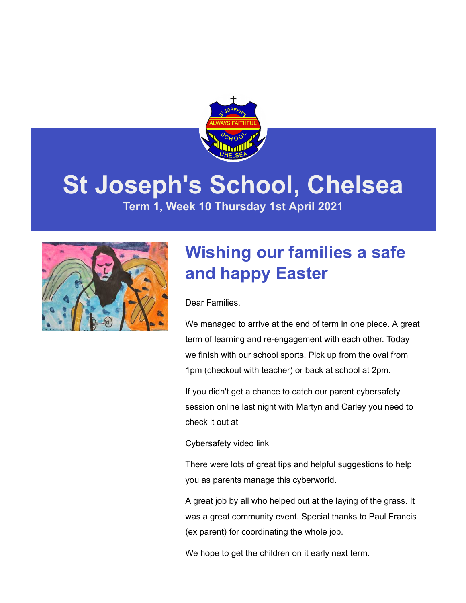

# **St Joseph's School, Chelsea**

**Term 1, Week 10 Thursday 1st April 2021**



### **Wishing our families a safe and happy Easter**

Dear Families,

We managed to arrive at the end of term in one piece. A great term of learning and re-engagement with each other. Today we finish with our school sports. Pick up from the oval from 1pm (checkout with teacher) or back at school at 2pm.

If you didn't get a chance to catch our parent cybersafety session online last night with Martyn and Carley you need to check it out at

[Cybersafety video link](https://youtu.be/NQDibsJpOEg)

There were lots of great tips and helpful suggestions to help you as parents manage this cyberworld.

A great job by all who helped out at the laying of the grass. It was a great community event. Special thanks to Paul Francis (ex parent) for coordinating the whole job.

We hope to get the children on it early next term.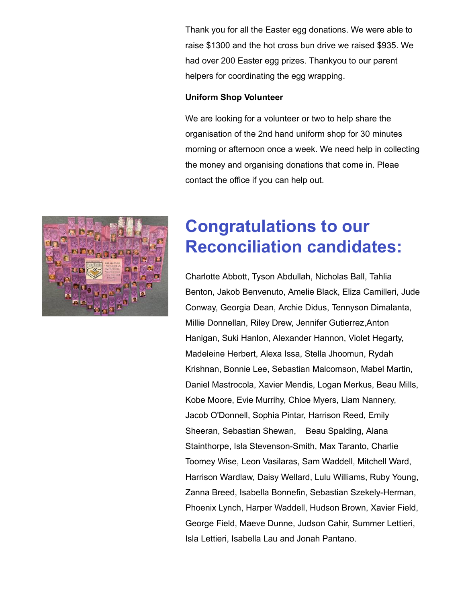Thank you for all the Easter egg donations. We were able to raise \$1300 and the hot cross bun drive we raised \$935. We had over 200 Easter egg prizes. Thankyou to our parent helpers for coordinating the egg wrapping.

#### **Uniform Shop Volunteer**

We are looking for a volunteer or two to help share the organisation of the 2nd hand uniform shop for 30 minutes morning or afternoon once a week. We need help in collecting the money and organising donations that come in. Pleae contact the office if you can help out.



### **Congratulations to our Reconciliation candidates:**

Charlotte Abbott, Tyson Abdullah, Nicholas Ball, Tahlia Benton, Jakob Benvenuto, Amelie Black, Eliza Camilleri, Jude Conway, Georgia Dean, Archie Didus, Tennyson Dimalanta, Millie Donnellan, Riley Drew, Jennifer Gutierrez,Anton Hanigan, Suki Hanlon, Alexander Hannon, Violet Hegarty, Madeleine Herbert, Alexa Issa, Stella Jhoomun, Rydah Krishnan, Bonnie Lee, Sebastian Malcomson, Mabel Martin, Daniel Mastrocola, Xavier Mendis, Logan Merkus, Beau Mills, Kobe Moore, Evie Murrihy, Chloe Myers, Liam Nannery, Jacob O'Donnell, Sophia Pintar, Harrison Reed, Emily Sheeran, Sebastian Shewan, Beau Spalding, Alana Stainthorpe, Isla Stevenson-Smith, Max Taranto, Charlie Toomey Wise, Leon Vasilaras, Sam Waddell, Mitchell Ward, Harrison Wardlaw, Daisy Wellard, Lulu Williams, Ruby Young, Zanna Breed, Isabella Bonnefin, Sebastian Szekely-Herman, Phoenix Lynch, Harper Waddell, Hudson Brown, Xavier Field, George Field, Maeve Dunne, Judson Cahir, Summer Lettieri, Isla Lettieri, Isabella Lau and Jonah Pantano.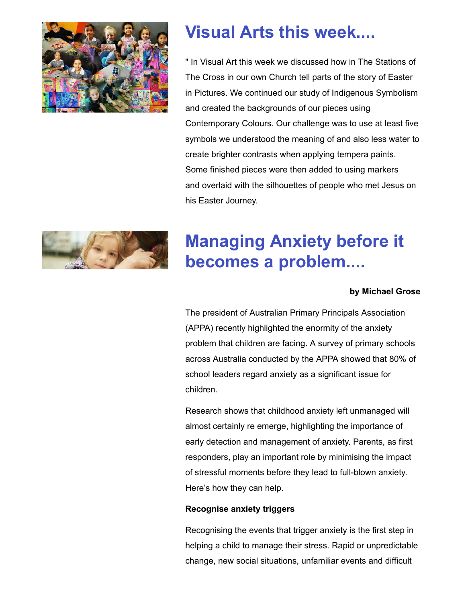

### **Visual Arts this week....**

" In Visual Art this week we discussed how in The Stations of The Cross in our own Church tell parts of the story of Easter in Pictures. We continued our study of Indigenous Symbolism and created the backgrounds of our pieces using Contemporary Colours. Our challenge was to use at least five symbols we understood the meaning of and also less water to create brighter contrasts when applying tempera paints. Some finished pieces were then added to using markers and overlaid with the silhouettes of people who met Jesus on his Easter Journey.



### **Managing Anxiety before it becomes a problem....**

### **by Michael Grose**

The president of Australian Primary Principals Association (APPA) recently highlighted the enormity of the anxiety problem that children are facing. A survey of primary schools across Australia conducted by the APPA showed that 80% of school leaders regard anxiety as a significant issue for children.

Research shows that childhood anxiety left unmanaged will almost certainly re emerge, highlighting the importance of early detection and management of anxiety. Parents, as first responders, play an important role by minimising the impact of stressful moments before they lead to full-blown anxiety. Here's how they can help.

#### **Recognise anxiety triggers**

Recognising the events that trigger anxiety is the first step in helping a child to manage their stress. Rapid or unpredictable change, new social situations, unfamiliar events and difficult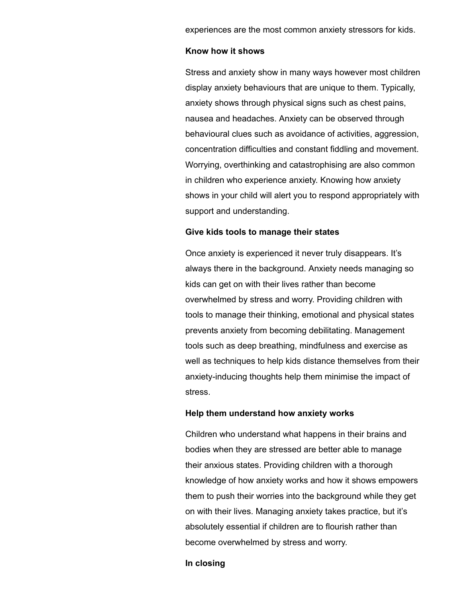experiences are the most common anxiety stressors for kids.

#### **Know how it shows**

Stress and anxiety show in many ways however most children display anxiety behaviours that are unique to them. Typically, anxiety shows through physical signs such as chest pains, nausea and headaches. Anxiety can be observed through behavioural clues such as avoidance of activities, aggression, concentration difficulties and constant fiddling and movement. Worrying, overthinking and catastrophising are also common in children who experience anxiety. Knowing how anxiety shows in your child will alert you to respond appropriately with support and understanding.

#### **Give kids tools to manage their states**

Once anxiety is experienced it never truly disappears. It's always there in the background. Anxiety needs managing so kids can get on with their lives rather than become overwhelmed by stress and worry. Providing children with tools to manage their thinking, emotional and physical states prevents anxiety from becoming debilitating. Management tools such as deep breathing, mindfulness and exercise as well as techniques to help kids distance themselves from their anxiety-inducing thoughts help them minimise the impact of stress.

#### **Help them understand how anxiety works**

Children who understand what happens in their brains and bodies when they are stressed are better able to manage their anxious states. Providing children with a thorough knowledge of how anxiety works and how it shows empowers them to push their worries into the background while they get on with their lives. Managing anxiety takes practice, but it's absolutely essential if children are to flourish rather than become overwhelmed by stress and worry.

#### **In closing**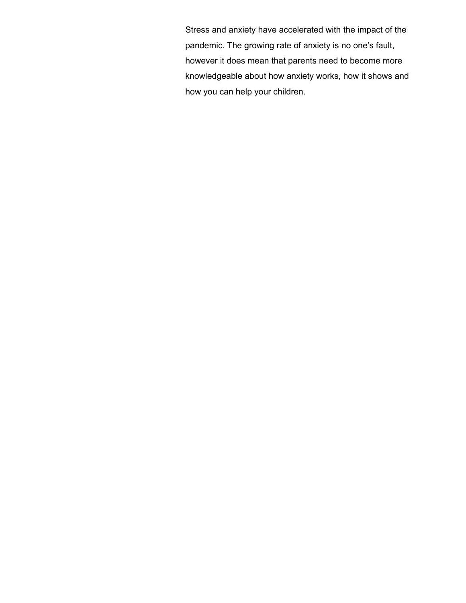Stress and anxiety have accelerated with the impact of the pandemic. The growing rate of anxiety is no one's fault, however it does mean that parents need to become more knowledgeable about how anxiety works, how it shows and how you can help your children.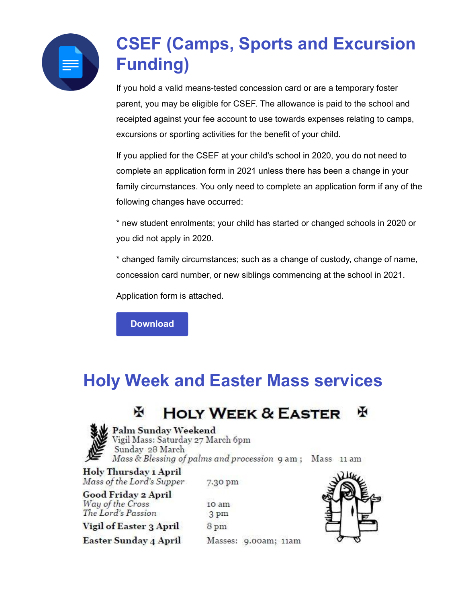

## **CSEF (Camps, Sports and Excursion Funding)**

If you hold a valid means-tested concession card or are a temporary foster parent, you may be eligible for CSEF. The allowance is paid to the school and receipted against your fee account to use towards expenses relating to camps, excursions or sporting activities for the benefit of your child.

If you applied for the CSEF at your child's school in 2020, you do not need to complete an application form in 2021 unless there has been a change in your family circumstances. You only need to complete an application form if any of the following changes have occurred:

\* new student enrolments; your child has started or changed schools in 2020 or you did not apply in 2020.

\* changed family circumstances; such as a change of custody, change of name, concession card number, or new siblings commencing at the school in 2021.

Application form is attached.

**[Download](https://enewsletter.coralcommunities.com/download?file=/file_module/17394/file_download_17394_3574211727.pdf)**

### **Holy Week and Easter Mass services**

#### **HOLY WEEK & EASTER** ж ж



Palm Sunday Weekend

Vigil Mass: Saturday 27 March 6pm Sunday 28 March Mass & Blessing of palms and procession 9 am; Mass 11 am

Holy Thursday 1 April Mass of the Lord's Supper

Good Friday 2 April Way of the Cross The Lord's Passion

Vigil of Easter 3 April

**Easter Sunday 4 April** 

7.30 pm

10 am 3 pm 8 pm Masses: 9.00am; 11am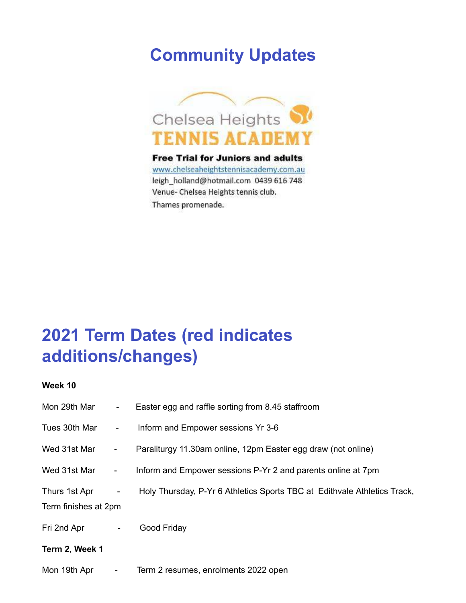### **Community Updates**



**Free Trial for Juniors and adults** www.chelseaheightstennisacademy.com.au leigh\_holland@hotmail.com 0439 616 748 Venue- Chelsea Heights tennis club. Thames promenade.

### **2021 Term Dates (red indicates additions/changes)**

**Week 10**

| Mon 29th Mar                          | $\sim 100$              | Easter egg and raffle sorting from 8.45 staffroom                        |  |
|---------------------------------------|-------------------------|--------------------------------------------------------------------------|--|
| Tues 30th Mar                         | $\blacksquare$          | Inform and Empower sessions Yr 3-6                                       |  |
| Wed 31st Mar                          | $\sim 100$              | Paraliturgy 11.30am online, 12pm Easter egg draw (not online)            |  |
| Wed 31st Mar                          | $\blacksquare$          | Inform and Empower sessions P-Yr 2 and parents online at 7pm             |  |
| Thurs 1st Apr<br>Term finishes at 2pm | $\blacksquare$          | Holy Thursday, P-Yr 6 Athletics Sports TBC at Edithvale Athletics Track, |  |
| Fri 2nd Apr                           | ۰                       | Good Friday                                                              |  |
| Term 2, Week 1                        |                         |                                                                          |  |
| Mon 19th Apr                          | $\sim 100$ km s $^{-1}$ | Term 2 resumes, enrolments 2022 open                                     |  |